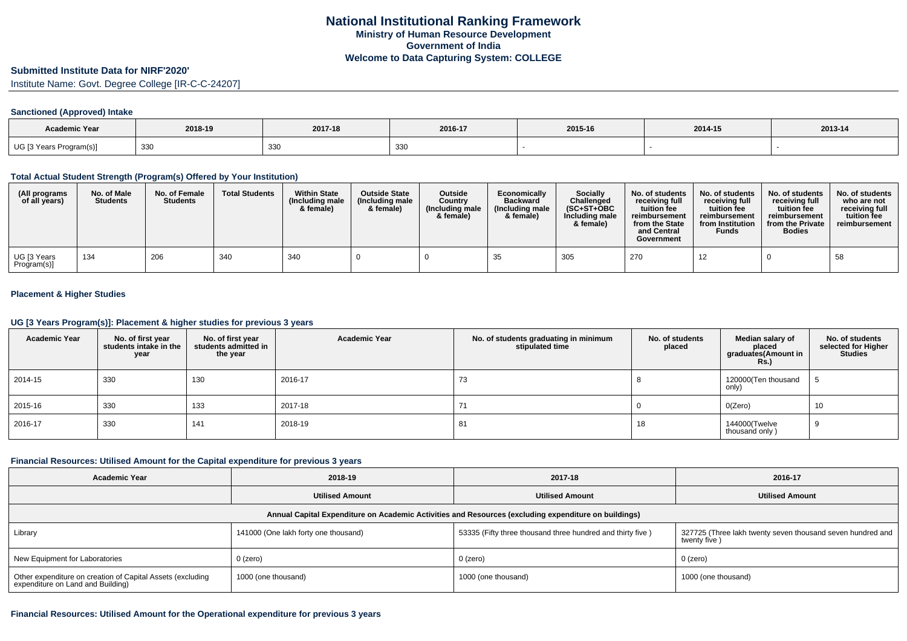### **Submitted Institute Data for NIRF'2020'**

Institute Name: Govt. Degree College [IR-C-C-24207]

#### **Sanctioned (Approved) Intake**

| Academic Year           |         |         |         |         |         |         |
|-------------------------|---------|---------|---------|---------|---------|---------|
|                         | 2018-19 | 2017-18 | 2016-17 | 2015-16 | 2014-15 | 2013-14 |
| UG [3 Years Program(s)] | 330     | 330     | 330     |         |         |         |

### **Total Actual Student Strength (Program(s) Offered by Your Institution)**

| (All programs<br>of all years)          | No. of Male<br><b>Students</b> | No. of Female<br><b>Students</b> | <b>Total Students</b> | <b>Within State</b><br>(Including male<br>& female) | <b>Outside State</b><br>(Including male<br>& female) | <b>Outside</b><br>Country<br>(Including male<br>& female) | Economically<br><b>Backward</b><br>(Including male)<br>& female) | Socially<br>Challenged<br>$(SC+ST+OBC$<br>Including male<br>& female) | No. of students<br>receiving full<br>tuition fee<br>reimbursement<br>from the State<br>and Central<br>Government | No. of students<br>receiving full<br>tuition fee<br>reimbursement<br>from Institution<br><b>Funds</b> | No. of students<br>receiving full<br>tuition fee<br>reimbursement<br>from the Private<br><b>Bodies</b> | No. of students<br>who are not<br>receiving full<br>tuition fee<br>reimbursement |
|-----------------------------------------|--------------------------------|----------------------------------|-----------------------|-----------------------------------------------------|------------------------------------------------------|-----------------------------------------------------------|------------------------------------------------------------------|-----------------------------------------------------------------------|------------------------------------------------------------------------------------------------------------------|-------------------------------------------------------------------------------------------------------|--------------------------------------------------------------------------------------------------------|----------------------------------------------------------------------------------|
| <sup>l</sup> UG [3 Years<br>Program(s)] | 134                            | 206                              | 340                   | 340                                                 |                                                      |                                                           | 35                                                               | 305                                                                   | 270                                                                                                              | 12                                                                                                    |                                                                                                        | 58                                                                               |

## **Placement & Higher Studies**

# **UG [3 Years Program(s)]: Placement & higher studies for previous 3 years**

| <b>Academic Year</b> | No. of first year<br>students intake in the<br>year | No. of first year<br>students admitted in<br>the year | <b>Academic Year</b> | No. of students graduating in minimum<br>stipulated time | No. of students<br>placed | Median salary of<br>placed<br>graduates(Amount in<br><b>Rs.)</b> | No. of students<br>selected for Higher<br><b>Studies</b> |
|----------------------|-----------------------------------------------------|-------------------------------------------------------|----------------------|----------------------------------------------------------|---------------------------|------------------------------------------------------------------|----------------------------------------------------------|
| 2014-15              | 330                                                 | 130                                                   | 2016-17              | 73                                                       |                           | 120000(Ten thousand<br>only)                                     |                                                          |
| 2015-16              | 330                                                 | 133                                                   | 2017-18              | 71                                                       |                           | O(Zero)                                                          | 10                                                       |
| 2016-17              | 330                                                 | 141                                                   | 2018-19              | 81                                                       | 18                        | 144000(Twelve<br>thousand only)                                  |                                                          |

### **Financial Resources: Utilised Amount for the Capital expenditure for previous 3 years**

| <b>Academic Year</b>                                                                                 | 2018-19                              | 2017-18                                                    | 2016-17                                                                    |  |  |  |  |  |  |  |
|------------------------------------------------------------------------------------------------------|--------------------------------------|------------------------------------------------------------|----------------------------------------------------------------------------|--|--|--|--|--|--|--|
|                                                                                                      | <b>Utilised Amount</b>               |                                                            | <b>Utilised Amount</b>                                                     |  |  |  |  |  |  |  |
| Annual Capital Expenditure on Academic Activities and Resources (excluding expenditure on buildings) |                                      |                                                            |                                                                            |  |  |  |  |  |  |  |
| Library                                                                                              | 141000 (One lakh forty one thousand) | 53335 (Fifty three thousand three hundred and thirty five) | 327725 (Three lakh twenty seven thousand seven hundred and<br>twenty five) |  |  |  |  |  |  |  |
| New Equipment for Laboratories                                                                       | 0 (zero)                             | 0 (zero)                                                   | $0$ (zero)                                                                 |  |  |  |  |  |  |  |
| Other expenditure on creation of Capital Assets (excluding<br>expenditure on Land and Building)      | 1000 (one thousand)                  | 1000 (one thousand)                                        | 1000 (one thousand)                                                        |  |  |  |  |  |  |  |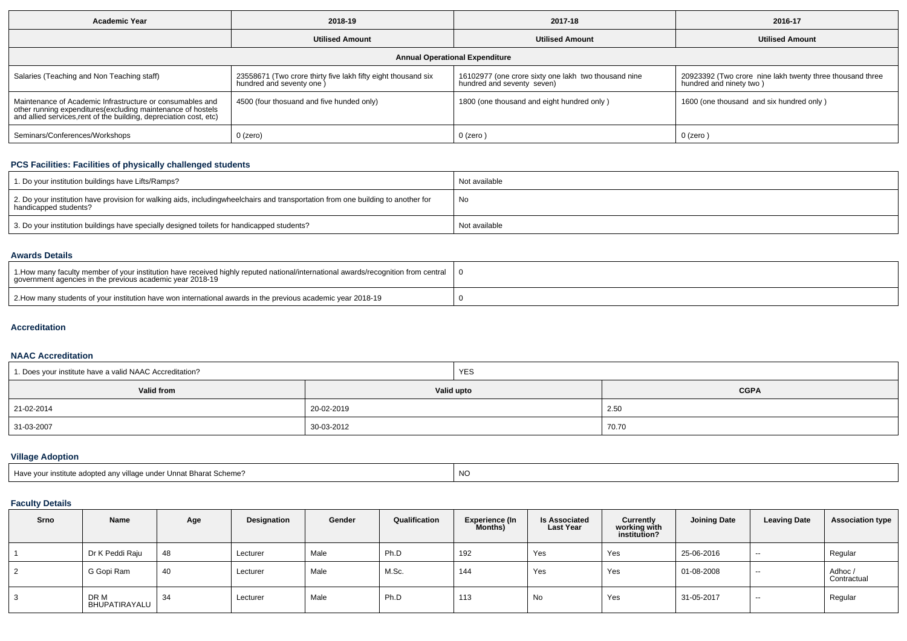| <b>Academic Year</b>                                                                                                                                                                            | 2018-19                                                                                   | 2017-18                                                                            | 2016-17                                                                              |  |  |  |  |  |  |
|-------------------------------------------------------------------------------------------------------------------------------------------------------------------------------------------------|-------------------------------------------------------------------------------------------|------------------------------------------------------------------------------------|--------------------------------------------------------------------------------------|--|--|--|--|--|--|
|                                                                                                                                                                                                 | <b>Utilised Amount</b>                                                                    | <b>Utilised Amount</b>                                                             | <b>Utilised Amount</b>                                                               |  |  |  |  |  |  |
| <b>Annual Operational Expenditure</b>                                                                                                                                                           |                                                                                           |                                                                                    |                                                                                      |  |  |  |  |  |  |
| Salaries (Teaching and Non Teaching staff)                                                                                                                                                      | 23558671 (Two crore thirty five lakh fifty eight thousand six<br>hundred and seventy one) | 16102977 (one crore sixty one lakh two thousand nine<br>hundred and seventy seven) | 20923392 (Two crore nine lakh twenty three thousand three<br>hundred and ninety two) |  |  |  |  |  |  |
| Maintenance of Academic Infrastructure or consumables and<br>other running expenditures (excluding maintenance of hostels<br>and allied services, rent of the building, depreciation cost, etc) | 4500 (four thosuand and five hunded only)                                                 | 1800 (one thousand and eight hundred only)                                         | 1600 (one thousand and six hundred only)                                             |  |  |  |  |  |  |
| Seminars/Conferences/Workshops                                                                                                                                                                  | 0 (zero)                                                                                  | 0 (zero)                                                                           | $0$ (zero)                                                                           |  |  |  |  |  |  |

# **PCS Facilities: Facilities of physically challenged students**

| 1. Do your institution buildings have Lifts/Ramps?                                                                                                        | Not available |
|-----------------------------------------------------------------------------------------------------------------------------------------------------------|---------------|
| 2. Do your institution have provision for walking aids, includingwheelchairs and transportation from one building to another for<br>handicapped students? | No            |
| 3. Do your institution buildings have specially designed toilets for handicapped students?                                                                | Not available |

### **Awards Details**

| 1. All 1. How many faculty member of your institution have received highly reputed national/international awards/recognition from central<br>government agencies in the previous academic year 2018-19 |  |
|--------------------------------------------------------------------------------------------------------------------------------------------------------------------------------------------------------|--|
| 2. How many students of your institution have won international awards in the previous academic year 2018-19                                                                                           |  |

#### **Accreditation**

### **NAAC Accreditation**

| 1. Does your institute have a valid NAAC Accreditation? |            | <b>YES</b> |             |  |  |
|---------------------------------------------------------|------------|------------|-------------|--|--|
| Valid from                                              | Valid upto |            | <b>CGPA</b> |  |  |
| 21-02-2014                                              | 20-02-2019 |            | 2.50        |  |  |
| 31-03-2007                                              | 30-03-2012 |            | 70.70       |  |  |

# **Village Adoption**

| l Have vour institute adopted anv village under Unnat Bharat Scheme? | N0 |
|----------------------------------------------------------------------|----|
|----------------------------------------------------------------------|----|

## **Faculty Details**

| Srno           | Name                  | Age | Designation | Gender | Qualification | <b>Experience (In</b><br>Months) | <b>Is Associated</b><br><b>Last Year</b> | Currently<br>working with<br>institution? | <b>Joining Date</b> | <b>Leaving Date</b> | <b>Association type</b> |
|----------------|-----------------------|-----|-------------|--------|---------------|----------------------------------|------------------------------------------|-------------------------------------------|---------------------|---------------------|-------------------------|
|                | Dr K Peddi Raju       | 48  | Lecturer    | Male   | Ph.D          | 192                              | Yes                                      | Yes                                       | 25-06-2016          | $\sim$              | Regular                 |
| $\overline{2}$ | G Gopi Ram            | 40  | Lecturer    | Male   | M.Sc.         | 144                              | Yes                                      | Yes                                       | 01-08-2008          | $\sim$              | Adhoc /<br>Contractual  |
| - 3            | DR M<br>BHUPATIRAYALU | 34  | Lecturer    | Male   | Ph.D          | 113                              | No                                       | Yes                                       | 31-05-2017          | $\sim$              | Regular                 |